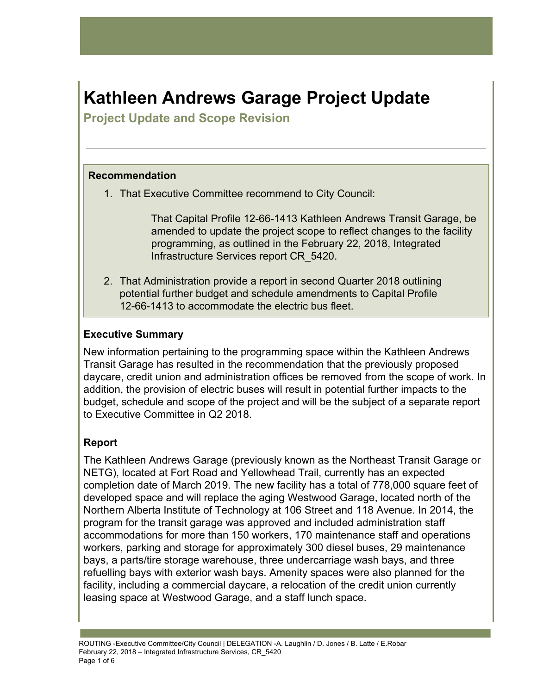# **Kathleen Andrews Garage Project Update**

**Project Update and Scope Revision** 

## **Recommendation**

1. That Executive Committee recommend to City Council:

That Capital Profile 12-66-1413 Kathleen Andrews Transit Garage, be amended to update the project scope to reflect changes to the facility programming, as outlined in the February 22, 2018, Integrated Infrastructure Services report CR\_5420.

2. That Administration provide a report in second Quarter 2018 outlining potential further budget and schedule amendments to Capital Profile 12-66-1413 to accommodate the electric bus fleet.

## **Executive Summary**

New information pertaining to the programming space within the Kathleen Andrews Transit Garage has resulted in the recommendation that the previously proposed daycare, credit union and administration offices be removed from the scope of work. In addition, the provision of electric buses will result in potential further impacts to the budget, schedule and scope of the project and will be the subject of a separate report to Executive Committee in Q2 2018.

## **Report**

The Kathleen Andrews Garage (previously known as the Northeast Transit Garage or NETG), located at Fort Road and Yellowhead Trail, currently has an expected completion date of March 2019. The new facility has a total of 778,000 square feet of developed space and will replace the aging Westwood Garage, located north of the Northern Alberta Institute of Technology at 106 Street and 118 Avenue. In 2014, the program for the transit garage was approved and included administration staff accommodations for more than 150 workers, 170 maintenance staff and operations workers, parking and storage for approximately 300 diesel buses, 29 maintenance bays, a parts/tire storage warehouse, three undercarriage wash bays, and three refuelling bays with exterior wash bays. Amenity spaces were also planned for the facility, including a commercial daycare, a relocation of the credit union currently leasing space at Westwood Garage, and a staff lunch space.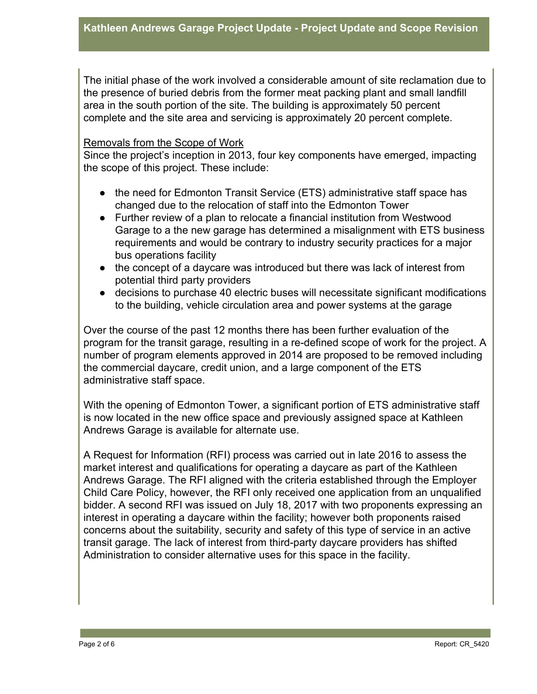The initial phase of the work involved a considerable amount of site reclamation due to the presence of buried debris from the former meat packing plant and small landfill area in the south portion of the site. The building is approximately 50 percent complete and the site area and servicing is approximately 20 percent complete.

#### Removals from the Scope of Work

Since the project's inception in 2013, four key components have emerged, impacting the scope of this project. These include:

- the need for Edmonton Transit Service (ETS) administrative staff space has changed due to the relocation of staff into the Edmonton Tower
- Further review of a plan to relocate a financial institution from Westwood Garage to a the new garage has determined a misalignment with ETS business requirements and would be contrary to industry security practices for a major bus operations facility
- the concept of a daycare was introduced but there was lack of interest from potential third party providers
- decisions to purchase 40 electric buses will necessitate significant modifications to the building, vehicle circulation area and power systems at the garage

Over the course of the past 12 months there has been further evaluation of the program for the transit garage, resulting in a re-defined scope of work for the project. A number of program elements approved in 2014 are proposed to be removed including the commercial daycare, credit union, and a large component of the ETS administrative staff space.

With the opening of Edmonton Tower, a significant portion of ETS administrative staff is now located in the new office space and previously assigned space at Kathleen Andrews Garage is available for alternate use.

A Request for Information (RFI) process was carried out in late 2016 to assess the market interest and qualifications for operating a daycare as part of the Kathleen Andrews Garage. The RFI aligned with the criteria established through the Employer Child Care Policy, however, the RFI only received one application from an unqualified bidder. A second RFI was issued on July 18, 2017 with two proponents expressing an interest in operating a daycare within the facility; however both proponents raised concerns about the suitability, security and safety of this type of service in an active transit garage. The lack of interest from third-party daycare providers has shifted Administration to consider alternative uses for this space in the facility.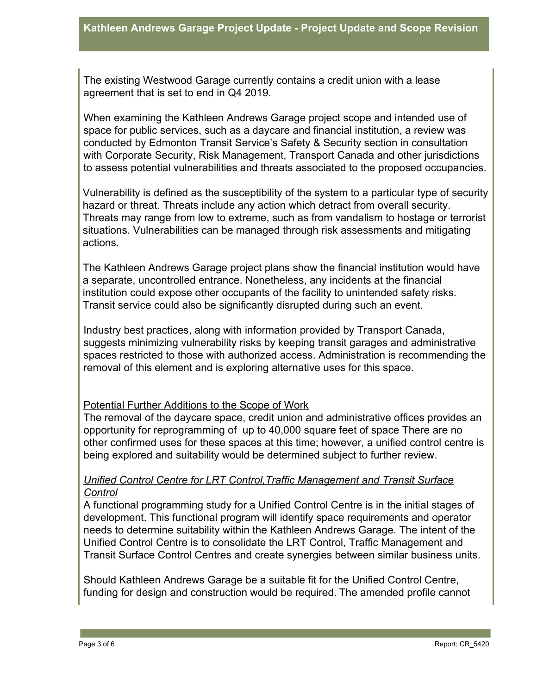The existing Westwood Garage currently contains a credit union with a lease agreement that is set to end in Q4 2019.

When examining the Kathleen Andrews Garage project scope and intended use of space for public services, such as a daycare and financial institution, a review was conducted by Edmonton Transit Service's Safety & Security section in consultation with Corporate Security, Risk Management, Transport Canada and other jurisdictions to assess potential vulnerabilities and threats associated to the proposed occupancies.

Vulnerability is defined as the susceptibility of the system to a particular type of security hazard or threat. Threats include any action which detract from overall security. Threats may range from low to extreme, such as from vandalism to hostage or terrorist situations. Vulnerabilities can be managed through risk assessments and mitigating actions.

The Kathleen Andrews Garage project plans show the financial institution would have a separate, uncontrolled entrance. Nonetheless, any incidents at the financial institution could expose other occupants of the facility to unintended safety risks. Transit service could also be significantly disrupted during such an event.

Industry best practices, along with information provided by Transport Canada, suggests minimizing vulnerability risks by keeping transit garages and administrative spaces restricted to those with authorized access. Administration is recommending the removal of this element and is exploring alternative uses for this space.

#### Potential Further Additions to the Scope of Work

The removal of the daycare space, credit union and administrative offices provides an opportunity for reprogramming of up to 40,000 square feet of space There are no other confirmed uses for these spaces at this time; however, a unified control centre is being explored and suitability would be determined subject to further review.

#### *Unified Control Centre for LRT Control,Traffic Management and Transit Surface Control*

A functional programming study for a Unified Control Centre is in the initial stages of development. This functional program will identify space requirements and operator needs to determine suitability within the Kathleen Andrews Garage. The intent of the Unified Control Centre is to consolidate the LRT Control, Traffic Management and Transit Surface Control Centres and create synergies between similar business units.

Should Kathleen Andrews Garage be a suitable fit for the Unified Control Centre, funding for design and construction would be required. The amended profile cannot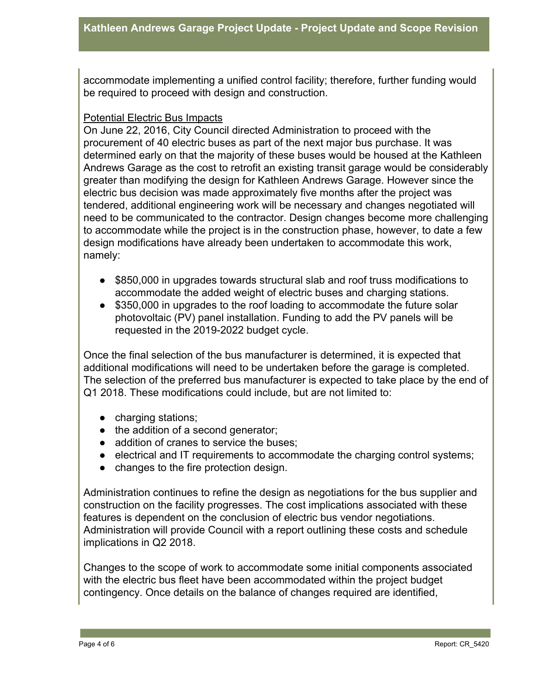accommodate implementing a unified control facility; therefore, further funding would be required to proceed with design and construction.

#### Potential Electric Bus Impacts

On June 22, 2016, City Council directed Administration to proceed with the procurement of 40 electric buses as part of the next major bus purchase. It was determined early on that the majority of these buses would be housed at the Kathleen Andrews Garage as the cost to retrofit an existing transit garage would be considerably greater than modifying the design for Kathleen Andrews Garage. However since the electric bus decision was made approximately five months after the project was tendered, additional engineering work will be necessary and changes negotiated will need to be communicated to the contractor. Design changes become more challenging to accommodate while the project is in the construction phase, however, to date a few design modifications have already been undertaken to accommodate this work, namely:

- \$850,000 in upgrades towards structural slab and roof truss modifications to accommodate the added weight of electric buses and charging stations.
- \$350,000 in upgrades to the roof loading to accommodate the future solar photovoltaic (PV) panel installation. Funding to add the PV panels will be requested in the 2019-2022 budget cycle.

Once the final selection of the bus manufacturer is determined, it is expected that additional modifications will need to be undertaken before the garage is completed. The selection of the preferred bus manufacturer is expected to take place by the end of Q1 2018. These modifications could include, but are not limited to:

- charging stations;
- the addition of a second generator;
- addition of cranes to service the buses;
- electrical and IT requirements to accommodate the charging control systems;
- changes to the fire protection design.

Administration continues to refine the design as negotiations for the bus supplier and construction on the facility progresses. The cost implications associated with these features is dependent on the conclusion of electric bus vendor negotiations. Administration will provide Council with a report outlining these costs and schedule implications in Q2 2018.

Changes to the scope of work to accommodate some initial components associated with the electric bus fleet have been accommodated within the project budget contingency. Once details on the balance of changes required are identified,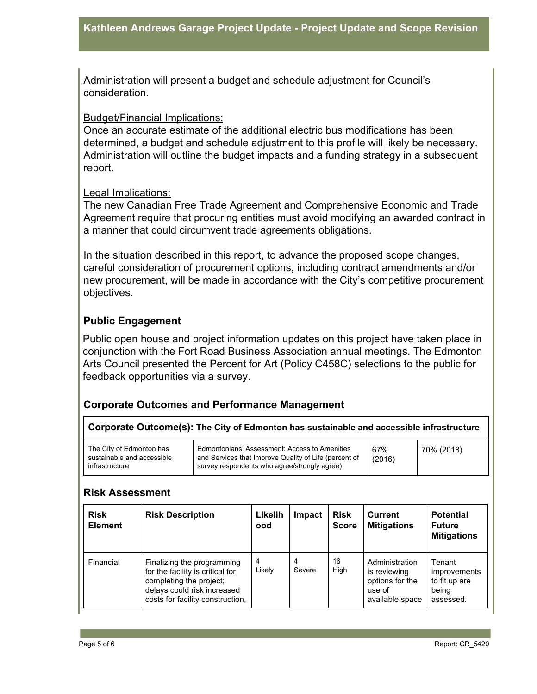Administration will present a budget and schedule adjustment for Council's consideration.

#### Budget/Financial Implications:

Once an accurate estimate of the additional electric bus modifications has been determined, a budget and schedule adjustment to this profile will likely be necessary. Administration will outline the budget impacts and a funding strategy in a subsequent report.

#### Legal Implications:

The new Canadian Free Trade Agreement and Comprehensive Economic and Trade Agreement require that procuring entities must avoid modifying an awarded contract in a manner that could circumvent trade agreements obligations.

In the situation described in this report, to advance the proposed scope changes, careful consideration of procurement options, including contract amendments and/or new procurement, will be made in accordance with the City's competitive procurement objectives.

### **Public Engagement**

Public open house and project information updates on this project have taken place in conjunction with the Fort Road Business Association annual meetings. The Edmonton Arts Council presented the Percent for Art (Policy C458C) selections to the public for feedback opportunities via a survey.

## **Corporate Outcomes and Performance Management**

**Corporate Outcome(s): The City of Edmonton has sustainable and accessible infrastructure**

#### **Risk Assessment**

| <b>Risk</b><br><b>Element</b> | <b>Risk Description</b>                                                                                                                                      | Likelih<br>ood | Impact      | <b>Risk</b><br><b>Score</b> | <b>Current</b><br><b>Mitigations</b>                                           | <b>Potential</b><br><b>Future</b><br><b>Mitigations</b>       |
|-------------------------------|--------------------------------------------------------------------------------------------------------------------------------------------------------------|----------------|-------------|-----------------------------|--------------------------------------------------------------------------------|---------------------------------------------------------------|
| Financial                     | Finalizing the programming<br>for the facility is critical for<br>completing the project;<br>delays could risk increased<br>costs for facility construction, | 4<br>Likely    | 4<br>Severe | 16<br>High                  | Administration<br>is reviewing<br>options for the<br>use of<br>available space | Tenant<br>improvements<br>to fit up are<br>being<br>assessed. |